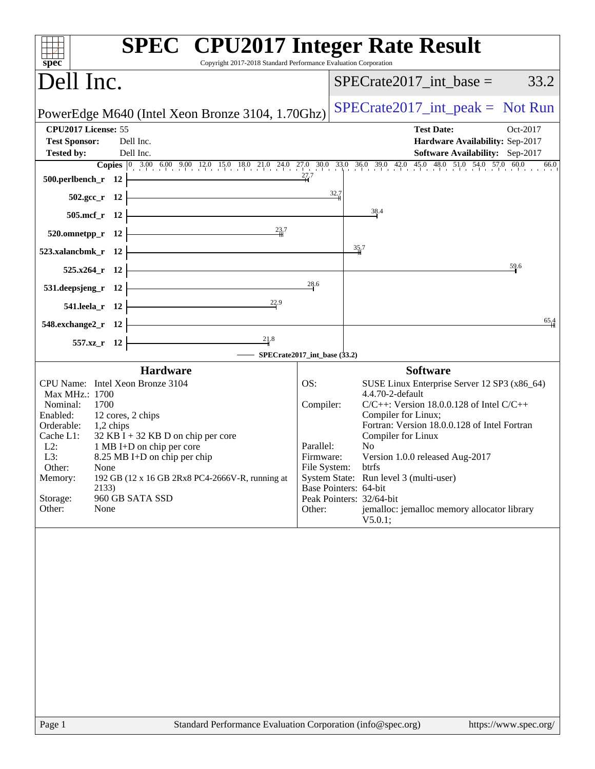| <b>SPEC<sup>®</sup></b> CPU2017 Integer Rate Result<br>Copyright 2017-2018 Standard Performance Evaluation Corporation<br>$spec^*$                                                                                                                                                                                                                                                                                                                                                                                                                                                                           |                                                      |                                                                                                                                                                                                                                                                                                                                                                                                                                                            |  |  |  |  |
|--------------------------------------------------------------------------------------------------------------------------------------------------------------------------------------------------------------------------------------------------------------------------------------------------------------------------------------------------------------------------------------------------------------------------------------------------------------------------------------------------------------------------------------------------------------------------------------------------------------|------------------------------------------------------|------------------------------------------------------------------------------------------------------------------------------------------------------------------------------------------------------------------------------------------------------------------------------------------------------------------------------------------------------------------------------------------------------------------------------------------------------------|--|--|--|--|
| Dell Inc.                                                                                                                                                                                                                                                                                                                                                                                                                                                                                                                                                                                                    |                                                      | $SPECrate2017\_int\_base =$<br>33.2                                                                                                                                                                                                                                                                                                                                                                                                                        |  |  |  |  |
| PowerEdge M640 (Intel Xeon Bronze 3104, 1.70Ghz)                                                                                                                                                                                                                                                                                                                                                                                                                                                                                                                                                             |                                                      | $SPECrate2017\_int\_peak = Not Run$                                                                                                                                                                                                                                                                                                                                                                                                                        |  |  |  |  |
| CPU2017 License: 55<br><b>Test Sponsor:</b><br>Dell Inc.<br>Dell Inc.<br><b>Tested by:</b><br>Copies 0 3.00 6.00 9.00 12.0 15.0 18.0 21.0 24.0 27.0 30.0 33.0 36.0 39.0 42.0 45.0 48.0 51.0 54.0 57.0 60.0<br>500.perlbench_r 12 $\overline{ )}$ $\overline{ )}$ $\overline{ )}$ $\overline{ )}$ $\overline{ )}$ $\overline{ )}$ $\overline{ )}$ $\overline{ )}$ $\overline{ )}$ $\overline{ )}$ $\overline{ )}$ $\overline{ )}$ $\overline{ )}$ $\overline{ )}$ $\overline{ )}$ $\overline{ )}$ $\overline{ )}$ $\overline{ )}$ $\overline{ )}$ $\overline{ )}$ $\overline{ )}$ $\overline{ )}$ $\overline$ |                                                      | <b>Test Date:</b><br>Oct-2017<br>Hardware Availability: Sep-2017<br>Software Availability: Sep-2017<br>66.0                                                                                                                                                                                                                                                                                                                                                |  |  |  |  |
| $502.\text{gcc}_r$ 12<br>$505.\text{mcf}_r$ 12<br>$\frac{23.7}{\text{H}}$                                                                                                                                                                                                                                                                                                                                                                                                                                                                                                                                    | 32.7                                                 | 38.4                                                                                                                                                                                                                                                                                                                                                                                                                                                       |  |  |  |  |
| $520.$ omnetpp_r 12<br><u> Andreas Andreas Andreas Andreas Andreas Andreas Andreas Andreas Andreas Andreas Andreas Andreas Andreas Andr</u><br>523.xalancbmk_r $12$<br>$525.x264_r$ 12                                                                                                                                                                                                                                                                                                                                                                                                                       |                                                      | 35.7<br>59.6                                                                                                                                                                                                                                                                                                                                                                                                                                               |  |  |  |  |
| 531.deepsjeng_r $12$ $\vdash$<br>541.leela_r 12 $\frac{22.9}{ }$                                                                                                                                                                                                                                                                                                                                                                                                                                                                                                                                             | 28.6                                                 |                                                                                                                                                                                                                                                                                                                                                                                                                                                            |  |  |  |  |
| <u> Alexandria de la contrada de la contrada de la contrada de la contrada de la contrada de la contrada de la c</u><br>$548$ .exchange2_r 12<br>$\overline{\phantom{a}21.8}$<br>557.xz_r 12<br>$\equiv$ SPECrate2017_int_base (33.2)                                                                                                                                                                                                                                                                                                                                                                        |                                                      | 65,4                                                                                                                                                                                                                                                                                                                                                                                                                                                       |  |  |  |  |
| <b>Hardware</b><br>CPU Name: Intel Xeon Bronze 3104<br>Max MHz.: 1700<br>Nominal:<br>1700<br>12 cores, 2 chips<br>Enabled:<br>Orderable: 1,2 chips<br>$32$ KB I + 32 KB D on chip per core<br>Cache L1:<br>$L2$ :<br>1 MB I+D on chip per core<br>L3:<br>8.25 MB I+D on chip per chip<br>Other:<br>None<br>192 GB (12 x 16 GB 2Rx8 PC4-2666V-R, running at<br>Memory:<br>2133)<br>Storage:<br>960 GB SATA SSD<br>Other:<br>None                                                                                                                                                                              | OS:<br>Compiler:<br>Parallel:<br>Firmware:<br>Other: | <b>Software</b><br>SUSE Linux Enterprise Server 12 SP3 (x86_64)<br>4.4.70-2-default<br>$C/C++$ : Version 18.0.0.128 of Intel $C/C++$<br>Compiler for Linux;<br>Fortran: Version 18.0.0.128 of Intel Fortran<br>Compiler for Linux<br>No.<br>Version 1.0.0 released Aug-2017<br>File System: btrfs<br>System State: Run level 3 (multi-user)<br>Base Pointers: 64-bit<br>Peak Pointers: 32/64-bit<br>jemalloc: jemalloc memory allocator library<br>V5.0.1; |  |  |  |  |
|                                                                                                                                                                                                                                                                                                                                                                                                                                                                                                                                                                                                              |                                                      |                                                                                                                                                                                                                                                                                                                                                                                                                                                            |  |  |  |  |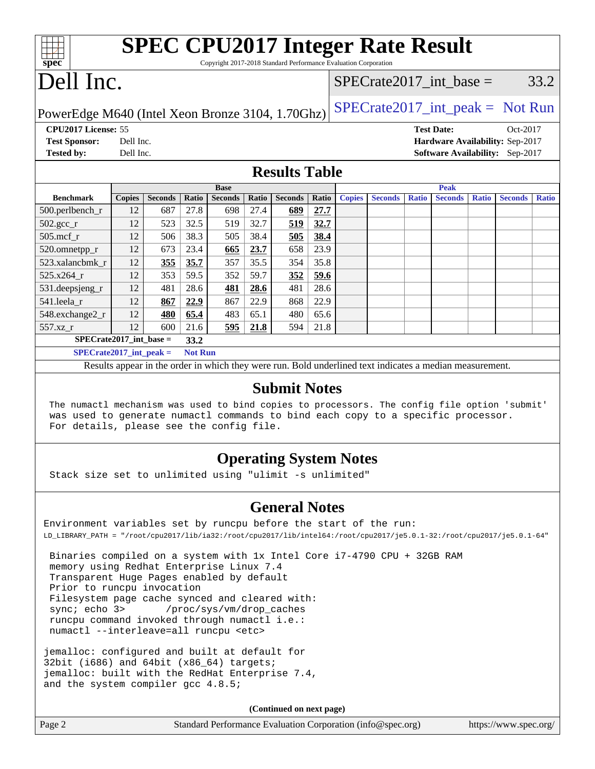| spec                                                                                                                                                                                                                                                |               |                |                | <b>SPEC CPU2017 Integer Rate Result</b><br>Copyright 2017-2018 Standard Performance Evaluation Corporation |              |                                    |       |               |                |              |                   |              |                                 |              |
|-----------------------------------------------------------------------------------------------------------------------------------------------------------------------------------------------------------------------------------------------------|---------------|----------------|----------------|------------------------------------------------------------------------------------------------------------|--------------|------------------------------------|-------|---------------|----------------|--------------|-------------------|--------------|---------------------------------|--------------|
| Dell Inc.                                                                                                                                                                                                                                           |               |                |                |                                                                                                            |              | $SPECrate2017$ _int_base =<br>33.2 |       |               |                |              |                   |              |                                 |              |
| $SPECTate2017\_int\_peak = Not Run$<br>PowerEdge M640 (Intel Xeon Bronze 3104, 1.70Ghz)                                                                                                                                                             |               |                |                |                                                                                                            |              |                                    |       |               |                |              |                   |              |                                 |              |
| CPU2017 License: 55                                                                                                                                                                                                                                 |               |                |                |                                                                                                            |              |                                    |       |               |                |              | <b>Test Date:</b> |              | Oct-2017                        |              |
| <b>Test Sponsor:</b>                                                                                                                                                                                                                                | Dell Inc.     |                |                |                                                                                                            |              |                                    |       |               |                |              |                   |              | Hardware Availability: Sep-2017 |              |
| <b>Tested by:</b>                                                                                                                                                                                                                                   | Dell Inc.     |                |                |                                                                                                            |              |                                    |       |               |                |              |                   |              | Software Availability: Sep-2017 |              |
|                                                                                                                                                                                                                                                     |               |                |                |                                                                                                            |              | <b>Results Table</b>               |       |               |                |              |                   |              |                                 |              |
|                                                                                                                                                                                                                                                     |               |                |                | <b>Base</b>                                                                                                |              |                                    |       |               |                |              | <b>Peak</b>       |              |                                 |              |
| <b>Benchmark</b>                                                                                                                                                                                                                                    | <b>Copies</b> | <b>Seconds</b> | Ratio          | <b>Seconds</b>                                                                                             | <b>Ratio</b> | <b>Seconds</b>                     | Ratio | <b>Copies</b> | <b>Seconds</b> | <b>Ratio</b> | <b>Seconds</b>    | <b>Ratio</b> | <b>Seconds</b>                  | <b>Ratio</b> |
| 500.perlbench_r                                                                                                                                                                                                                                     | 12            | 687            | 27.8           | 698                                                                                                        | 27.4         | 689                                | 27.7  |               |                |              |                   |              |                                 |              |
| $502.\text{sec}$                                                                                                                                                                                                                                    | 12            | 523            | 32.5           | 519                                                                                                        | 32.7         | 519                                | 32.7  |               |                |              |                   |              |                                 |              |
| 505.mcf r                                                                                                                                                                                                                                           | 12            | 506            | 38.3           | 505                                                                                                        | 38.4         | 505                                | 38.4  |               |                |              |                   |              |                                 |              |
| 520.omnetpp_r                                                                                                                                                                                                                                       | 12            | 673            | 23.4           | 665                                                                                                        | 23.7         | 658                                | 23.9  |               |                |              |                   |              |                                 |              |
| 523.xalancbmk_r                                                                                                                                                                                                                                     | 12            | 355            | 35.7           | 357                                                                                                        | 35.5         | 354                                | 35.8  |               |                |              |                   |              |                                 |              |
| 525.x264 r                                                                                                                                                                                                                                          | 12            | 353            | 59.5           | 352                                                                                                        | 59.7         | 352                                | 59.6  |               |                |              |                   |              |                                 |              |
| 531.deepsjeng_r                                                                                                                                                                                                                                     | 12            | 481            | 28.6           | 481                                                                                                        | 28.6         | 481                                | 28.6  |               |                |              |                   |              |                                 |              |
| 541.leela r                                                                                                                                                                                                                                         | 12            | 867            | 22.9           | 867                                                                                                        | 22.9         | 868                                | 22.9  |               |                |              |                   |              |                                 |              |
| 548.exchange2_r                                                                                                                                                                                                                                     | 12            | 480            | 65.4           | 483                                                                                                        | 65.1         | 480                                | 65.6  |               |                |              |                   |              |                                 |              |
| 557.xz_r                                                                                                                                                                                                                                            | 12            | 600            | 21.6           | 595                                                                                                        | 21.8         | 594                                | 21.8  |               |                |              |                   |              |                                 |              |
| $SPECrate2017\_int\_base =$                                                                                                                                                                                                                         |               |                | 33.2           |                                                                                                            |              |                                    |       |               |                |              |                   |              |                                 |              |
| $SPECrate2017\_int\_peak =$                                                                                                                                                                                                                         |               |                | <b>Not Run</b> |                                                                                                            |              |                                    |       |               |                |              |                   |              |                                 |              |
|                                                                                                                                                                                                                                                     |               |                |                | Results appear in the order in which they were run. Bold underlined text indicates a median measurement.   |              |                                    |       |               |                |              |                   |              |                                 |              |
| <b>Submit Notes</b><br>The numactl mechanism was used to bind copies to processors. The config file option 'submit'<br>was used to generate numactl commands to bind each copy to a specific processor.<br>For details, please see the config file. |               |                |                |                                                                                                            |              |                                    |       |               |                |              |                   |              |                                 |              |
| <b>Operating System Notes</b><br>Stack size set to unlimited using "ulimit -s unlimited"                                                                                                                                                            |               |                |                |                                                                                                            |              |                                    |       |               |                |              |                   |              |                                 |              |

#### **[General Notes](http://www.spec.org/auto/cpu2017/Docs/result-fields.html#GeneralNotes)**

Environment variables set by runcpu before the start of the run: LD\_LIBRARY\_PATH = "/root/cpu2017/lib/ia32:/root/cpu2017/lib/intel64:/root/cpu2017/je5.0.1-32:/root/cpu2017/je5.0.1-64"

 Binaries compiled on a system with 1x Intel Core i7-4790 CPU + 32GB RAM memory using Redhat Enterprise Linux 7.4 Transparent Huge Pages enabled by default Prior to runcpu invocation Filesystem page cache synced and cleared with: sync; echo 3> /proc/sys/vm/drop\_caches runcpu command invoked through numactl i.e.: numactl --interleave=all runcpu <etc>

jemalloc: configured and built at default for 32bit (i686) and 64bit (x86\_64) targets; jemalloc: built with the RedHat Enterprise 7.4, and the system compiler gcc 4.8.5;

**(Continued on next page)**

Page 2 Standard Performance Evaluation Corporation [\(info@spec.org\)](mailto:info@spec.org) <https://www.spec.org/>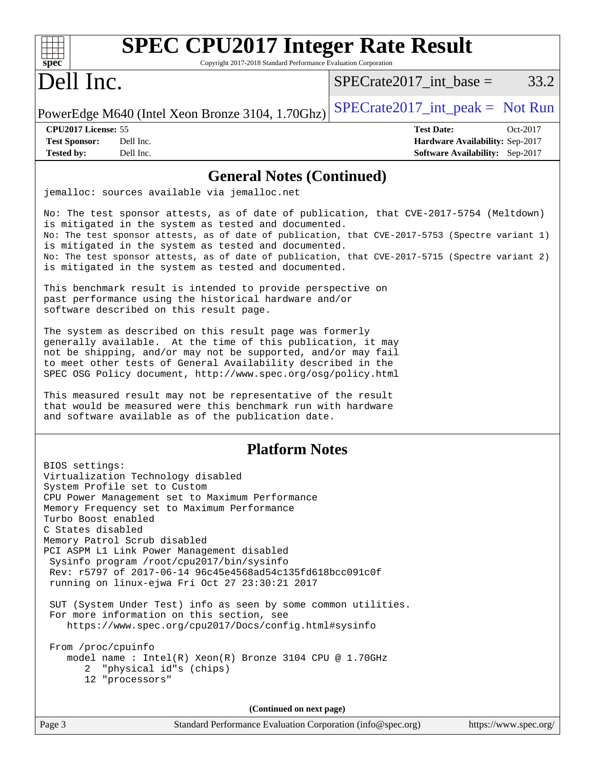| <b>SPEC CPU2017 Integer Rate Result</b><br>Copyright 2017-2018 Standard Performance Evaluation Corporation<br>$spec^*$                                                                                                                                                                                                                                                                                                                                                                                                                                                                                                                                                                                                                 |                                                                                                     |
|----------------------------------------------------------------------------------------------------------------------------------------------------------------------------------------------------------------------------------------------------------------------------------------------------------------------------------------------------------------------------------------------------------------------------------------------------------------------------------------------------------------------------------------------------------------------------------------------------------------------------------------------------------------------------------------------------------------------------------------|-----------------------------------------------------------------------------------------------------|
| Dell Inc.                                                                                                                                                                                                                                                                                                                                                                                                                                                                                                                                                                                                                                                                                                                              | 33.2<br>$SPECrate2017\_int\_base =$                                                                 |
| PowerEdge M640 (Intel Xeon Bronze 3104, 1.70Ghz)                                                                                                                                                                                                                                                                                                                                                                                                                                                                                                                                                                                                                                                                                       | $SPECrate2017\_int\_peak = Not Run$                                                                 |
| CPU2017 License: 55<br>Dell Inc.<br><b>Test Sponsor:</b><br>Dell Inc.<br><b>Tested by:</b>                                                                                                                                                                                                                                                                                                                                                                                                                                                                                                                                                                                                                                             | <b>Test Date:</b><br>Oct-2017<br>Hardware Availability: Sep-2017<br>Software Availability: Sep-2017 |
| <b>General Notes (Continued)</b>                                                                                                                                                                                                                                                                                                                                                                                                                                                                                                                                                                                                                                                                                                       |                                                                                                     |
| jemalloc: sources available via jemalloc.net                                                                                                                                                                                                                                                                                                                                                                                                                                                                                                                                                                                                                                                                                           |                                                                                                     |
| No: The test sponsor attests, as of date of publication, that CVE-2017-5754 (Meltdown)<br>is mitigated in the system as tested and documented.<br>No: The test sponsor attests, as of date of publication, that CVE-2017-5753 (Spectre variant 1)<br>is mitigated in the system as tested and documented.<br>No: The test sponsor attests, as of date of publication, that CVE-2017-5715 (Spectre variant 2)<br>is mitigated in the system as tested and documented.<br>This benchmark result is intended to provide perspective on                                                                                                                                                                                                    |                                                                                                     |
| past performance using the historical hardware and/or<br>software described on this result page.                                                                                                                                                                                                                                                                                                                                                                                                                                                                                                                                                                                                                                       |                                                                                                     |
| The system as described on this result page was formerly<br>generally available. At the time of this publication, it may<br>not be shipping, and/or may not be supported, and/or may fail<br>to meet other tests of General Availability described in the<br>SPEC OSG Policy document, http://www.spec.org/osg/policy.html                                                                                                                                                                                                                                                                                                                                                                                                             |                                                                                                     |
| This measured result may not be representative of the result<br>that would be measured were this benchmark run with hardware<br>and software available as of the publication date.                                                                                                                                                                                                                                                                                                                                                                                                                                                                                                                                                     |                                                                                                     |
| <b>Platform Notes</b>                                                                                                                                                                                                                                                                                                                                                                                                                                                                                                                                                                                                                                                                                                                  |                                                                                                     |
| BIOS settings:<br>Virtualization Technology disabled<br>System Profile set to Custom<br>CPU Power Management set to Maximum Performance<br>Memory Frequency set to Maximum Performance<br>Turbo Boost enabled<br>C States disabled<br>Memory Patrol Scrub disabled<br>PCI ASPM L1 Link Power Management disabled<br>Sysinfo program /root/cpu2017/bin/sysinfo<br>Rev: r5797 of 2017-06-14 96c45e4568ad54c135fd618bcc091c0f<br>running on linux-ejwa Fri Oct 27 23:30:21 2017<br>SUT (System Under Test) info as seen by some common utilities.<br>For more information on this section, see<br>https://www.spec.org/cpu2017/Docs/config.html#sysinfo<br>From /proc/cpuinfo<br>model name: $Intel(R)$ Xeon(R) Bronze 3104 CPU @ 1.70GHz |                                                                                                     |
| "physical id"s (chips)<br>2<br>12 "processors"                                                                                                                                                                                                                                                                                                                                                                                                                                                                                                                                                                                                                                                                                         |                                                                                                     |
| (Continued on next page)                                                                                                                                                                                                                                                                                                                                                                                                                                                                                                                                                                                                                                                                                                               |                                                                                                     |
| Page 3<br>Standard Performance Evaluation Corporation (info@spec.org)                                                                                                                                                                                                                                                                                                                                                                                                                                                                                                                                                                                                                                                                  | https://www.spec.org/                                                                               |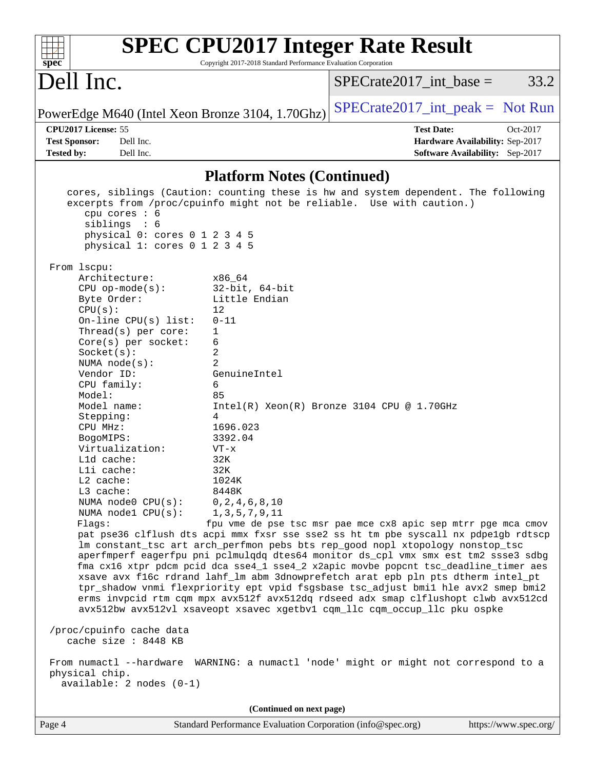| $spec^*$                                                                                                                                                                                                                                                                                                                                                                                                                                                                                                                                                                   | <b>SPEC CPU2017 Integer Rate Result</b><br>Copyright 2017-2018 Standard Performance Evaluation Corporation                                                                                                                                                                                                                                                                                                                                                                                                                                                                                                                                                                                                                                                                                                                                                                                                                                                                                                                                                                                                                                                                       |
|----------------------------------------------------------------------------------------------------------------------------------------------------------------------------------------------------------------------------------------------------------------------------------------------------------------------------------------------------------------------------------------------------------------------------------------------------------------------------------------------------------------------------------------------------------------------------|----------------------------------------------------------------------------------------------------------------------------------------------------------------------------------------------------------------------------------------------------------------------------------------------------------------------------------------------------------------------------------------------------------------------------------------------------------------------------------------------------------------------------------------------------------------------------------------------------------------------------------------------------------------------------------------------------------------------------------------------------------------------------------------------------------------------------------------------------------------------------------------------------------------------------------------------------------------------------------------------------------------------------------------------------------------------------------------------------------------------------------------------------------------------------------|
| Dell Inc.                                                                                                                                                                                                                                                                                                                                                                                                                                                                                                                                                                  | 33.2<br>$SPECrate2017\_int\_base =$                                                                                                                                                                                                                                                                                                                                                                                                                                                                                                                                                                                                                                                                                                                                                                                                                                                                                                                                                                                                                                                                                                                                              |
| PowerEdge M640 (Intel Xeon Bronze 3104, 1.70Ghz)                                                                                                                                                                                                                                                                                                                                                                                                                                                                                                                           | $SPECrate2017\_int\_peak = Not Run$                                                                                                                                                                                                                                                                                                                                                                                                                                                                                                                                                                                                                                                                                                                                                                                                                                                                                                                                                                                                                                                                                                                                              |
| CPU2017 License: 55<br><b>Test Sponsor:</b><br>Dell Inc.                                                                                                                                                                                                                                                                                                                                                                                                                                                                                                                   | <b>Test Date:</b><br>Oct-2017<br>Hardware Availability: Sep-2017                                                                                                                                                                                                                                                                                                                                                                                                                                                                                                                                                                                                                                                                                                                                                                                                                                                                                                                                                                                                                                                                                                                 |
| Dell Inc.<br><b>Tested by:</b>                                                                                                                                                                                                                                                                                                                                                                                                                                                                                                                                             | <b>Software Availability:</b> Sep-2017                                                                                                                                                                                                                                                                                                                                                                                                                                                                                                                                                                                                                                                                                                                                                                                                                                                                                                                                                                                                                                                                                                                                           |
|                                                                                                                                                                                                                                                                                                                                                                                                                                                                                                                                                                            | <b>Platform Notes (Continued)</b>                                                                                                                                                                                                                                                                                                                                                                                                                                                                                                                                                                                                                                                                                                                                                                                                                                                                                                                                                                                                                                                                                                                                                |
| cpu cores $: 6$<br>sibling: 6<br>physical 0: cores 0 1 2 3 4 5<br>physical 1: cores 0 1 2 3 4 5<br>From 1scpu:<br>Architecture:<br>$CPU$ op-mode(s):<br>Byte Order:<br>CPU(s):<br>On-line $CPU(s)$ list:<br>Thread(s) per core:<br>1<br>6<br>Core(s) per socket:<br>2<br>Socket(s):<br>$\overline{2}$<br>NUMA $node(s)$ :<br>Vendor ID:<br>6<br>CPU family:<br>Model:<br>85<br>Model name:<br>Stepping:<br>4<br>CPU MHz:<br>BogoMIPS:<br>Virtualization:<br>L1d cache:<br>Lli cache:<br>L2 cache:<br>L3 cache:<br>NUMA $node0$ $CPU(s):$<br>NUMA nodel $CPU(s):$<br>Flags: | cores, siblings (Caution: counting these is hw and system dependent. The following<br>excerpts from /proc/cpuinfo might not be reliable. Use with caution.)<br>x86 64<br>$32$ -bit, $64$ -bit<br>Little Endian<br>12<br>$0 - 11$<br>GenuineIntel<br>$Intel(R) Xeon(R) Bronze 3104 CPU @ 1.70GHz$<br>1696.023<br>3392.04<br>$VT - x$<br>32K<br>32K<br>1024K<br>8448K<br>0, 2, 4, 6, 8, 10<br>1, 3, 5, 7, 9, 11<br>fpu vme de pse tsc msr pae mce cx8 apic sep mtrr pge mca cmov<br>pat pse36 clflush dts acpi mmx fxsr sse sse2 ss ht tm pbe syscall nx pdpe1gb rdtscp<br>lm constant_tsc art arch_perfmon pebs bts rep_good nopl xtopology nonstop_tsc<br>aperfmperf eagerfpu pni pclmulqdq dtes64 monitor ds_cpl vmx smx est tm2 ssse3 sdbg<br>fma cx16 xtpr pdcm pcid dca sse4_1 sse4_2 x2apic movbe popcnt tsc_deadline_timer aes<br>xsave avx f16c rdrand lahf_lm abm 3dnowprefetch arat epb pln pts dtherm intel_pt<br>tpr_shadow vnmi flexpriority ept vpid fsgsbase tsc_adjust bmil hle avx2 smep bmi2<br>erms invpcid rtm cqm mpx avx512f avx512dq rdseed adx smap clflushopt clwb avx512cd<br>avx512bw avx512vl xsaveopt xsavec xgetbvl cqm_llc cqm_occup_llc pku ospke |
| /proc/cpuinfo cache data<br>cache size : 8448 KB                                                                                                                                                                                                                                                                                                                                                                                                                                                                                                                           |                                                                                                                                                                                                                                                                                                                                                                                                                                                                                                                                                                                                                                                                                                                                                                                                                                                                                                                                                                                                                                                                                                                                                                                  |
| physical chip.<br>$available: 2 nodes (0-1)$                                                                                                                                                                                                                                                                                                                                                                                                                                                                                                                               | From numactl --hardware WARNING: a numactl 'node' might or might not correspond to a                                                                                                                                                                                                                                                                                                                                                                                                                                                                                                                                                                                                                                                                                                                                                                                                                                                                                                                                                                                                                                                                                             |
|                                                                                                                                                                                                                                                                                                                                                                                                                                                                                                                                                                            | (Continued on next page)                                                                                                                                                                                                                                                                                                                                                                                                                                                                                                                                                                                                                                                                                                                                                                                                                                                                                                                                                                                                                                                                                                                                                         |
| Page 4                                                                                                                                                                                                                                                                                                                                                                                                                                                                                                                                                                     | Standard Performance Evaluation Corporation (info@spec.org)<br>https://www.spec.org/                                                                                                                                                                                                                                                                                                                                                                                                                                                                                                                                                                                                                                                                                                                                                                                                                                                                                                                                                                                                                                                                                             |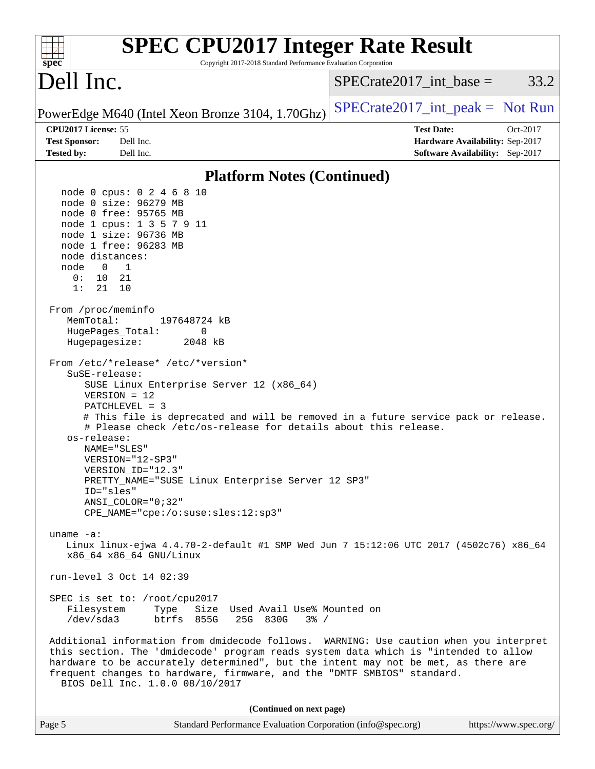| <b>SPEC CPU2017 Integer Rate Result</b><br>Copyright 2017-2018 Standard Performance Evaluation Corporation<br>$spec^*$                                                                                                                                                                                                                                                                                                                                                                                                                                                                                                                                                                                                                                                                                                                                                                                                                                                                                               |                                                                                                     |
|----------------------------------------------------------------------------------------------------------------------------------------------------------------------------------------------------------------------------------------------------------------------------------------------------------------------------------------------------------------------------------------------------------------------------------------------------------------------------------------------------------------------------------------------------------------------------------------------------------------------------------------------------------------------------------------------------------------------------------------------------------------------------------------------------------------------------------------------------------------------------------------------------------------------------------------------------------------------------------------------------------------------|-----------------------------------------------------------------------------------------------------|
| Dell Inc.                                                                                                                                                                                                                                                                                                                                                                                                                                                                                                                                                                                                                                                                                                                                                                                                                                                                                                                                                                                                            | $SPECrate2017\_int\_base =$<br>33.2                                                                 |
| PowerEdge M640 (Intel Xeon Bronze 3104, 1.70Ghz)                                                                                                                                                                                                                                                                                                                                                                                                                                                                                                                                                                                                                                                                                                                                                                                                                                                                                                                                                                     | $SPECTate2017\_int\_peak = Not Run$                                                                 |
| CPU2017 License: 55<br><b>Test Sponsor:</b><br>Dell Inc.<br><b>Tested by:</b><br>Dell Inc.                                                                                                                                                                                                                                                                                                                                                                                                                                                                                                                                                                                                                                                                                                                                                                                                                                                                                                                           | <b>Test Date:</b><br>Oct-2017<br>Hardware Availability: Sep-2017<br>Software Availability: Sep-2017 |
| <b>Platform Notes (Continued)</b>                                                                                                                                                                                                                                                                                                                                                                                                                                                                                                                                                                                                                                                                                                                                                                                                                                                                                                                                                                                    |                                                                                                     |
| node 0 cpus: 0 2 4 6 8 10<br>node 0 size: 96279 MB<br>node 0 free: 95765 MB<br>node 1 cpus: 1 3 5 7 9 11<br>node 1 size: 96736 MB<br>node 1 free: 96283 MB<br>node distances:<br>$\overline{0}$<br>$\overline{1}$<br>node<br>0 :<br>10<br>21<br>1:<br>21<br>10<br>From /proc/meminfo<br>MemTotal:<br>197648724 kB<br>HugePages_Total:<br>0<br>Hugepagesize:<br>2048 kB<br>From /etc/*release* /etc/*version*<br>SuSE-release:<br>SUSE Linux Enterprise Server 12 (x86_64)<br>$VERSION = 12$<br>$PATCHLEVEL = 3$<br># This file is deprecated and will be removed in a future service pack or release.<br># Please check /etc/os-release for details about this release.<br>os-release:<br>NAME="SLES"<br>VERSION="12-SP3"<br>VERSION ID="12.3"<br>PRETTY_NAME="SUSE Linux Enterprise Server 12 SP3"<br>ID="sles"<br>$ANSI\_COLOR = "0;32"$<br>CPE_NAME="cpe:/o:suse:sles:12:sp3"<br>uname $-a$ :<br>Linux linux-ejwa 4.4.70-2-default #1 SMP Wed Jun 7 15:12:06 UTC 2017 (4502c76) x86_64<br>x86 64 x86 64 GNU/Linux |                                                                                                     |
| run-level 3 Oct 14 02:39                                                                                                                                                                                                                                                                                                                                                                                                                                                                                                                                                                                                                                                                                                                                                                                                                                                                                                                                                                                             |                                                                                                     |
| SPEC is set to: /root/cpu2017<br>Size Used Avail Use% Mounted on<br>Filesystem<br>Type<br>/dev/sda3<br>btrfs 855G<br>25G 830G<br>$3\frac{6}{9}$ /                                                                                                                                                                                                                                                                                                                                                                                                                                                                                                                                                                                                                                                                                                                                                                                                                                                                    |                                                                                                     |
| Additional information from dmidecode follows. WARNING: Use caution when you interpret<br>this section. The 'dmidecode' program reads system data which is "intended to allow<br>hardware to be accurately determined", but the intent may not be met, as there are<br>frequent changes to hardware, firmware, and the "DMTF SMBIOS" standard.<br>BIOS Dell Inc. 1.0.0 08/10/2017                                                                                                                                                                                                                                                                                                                                                                                                                                                                                                                                                                                                                                    |                                                                                                     |
| (Continued on next page)                                                                                                                                                                                                                                                                                                                                                                                                                                                                                                                                                                                                                                                                                                                                                                                                                                                                                                                                                                                             |                                                                                                     |
| Standard Performance Evaluation Corporation (info@spec.org)<br>Page 5                                                                                                                                                                                                                                                                                                                                                                                                                                                                                                                                                                                                                                                                                                                                                                                                                                                                                                                                                | https://www.spec.org/                                                                               |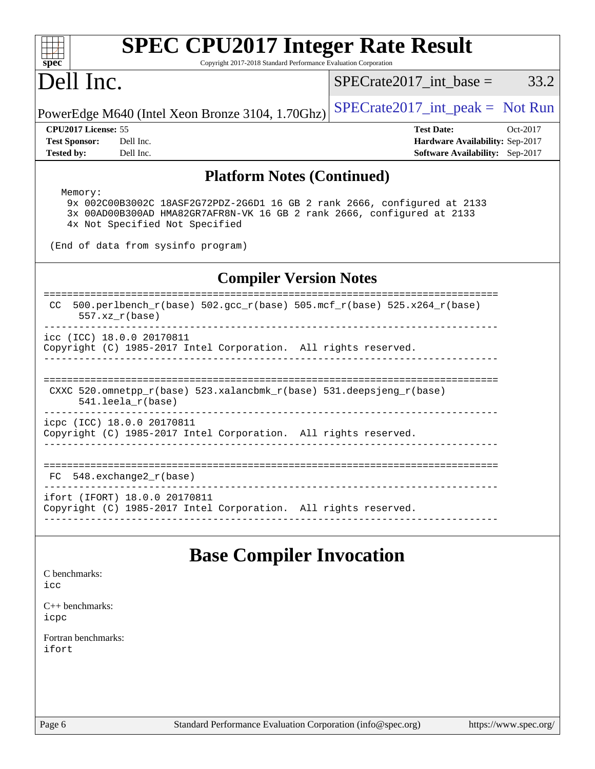| <b>SPEC CPU2017 Integer Rate Result</b><br>Copyright 2017-2018 Standard Performance Evaluation Corporation<br>spec <sup>®</sup>                                                                 |                                                                                                     |
|-------------------------------------------------------------------------------------------------------------------------------------------------------------------------------------------------|-----------------------------------------------------------------------------------------------------|
| Dell Inc.                                                                                                                                                                                       | $SPECrate2017\_int\_base =$<br>33.2                                                                 |
| PowerEdge M640 (Intel Xeon Bronze 3104, 1.70Ghz)                                                                                                                                                | $SPECrate2017\_int\_peak = Not Run$                                                                 |
| CPU2017 License: 55<br><b>Test Sponsor:</b><br>Dell Inc.<br><b>Tested by:</b><br>Dell Inc.                                                                                                      | <b>Test Date:</b><br>Oct-2017<br>Hardware Availability: Sep-2017<br>Software Availability: Sep-2017 |
| <b>Platform Notes (Continued)</b>                                                                                                                                                               |                                                                                                     |
| Memory:<br>9x 002C00B3002C 18ASF2G72PDZ-2G6D1 16 GB 2 rank 2666, configured at 2133<br>3x 00AD00B300AD HMA82GR7AFR8N-VK 16 GB 2 rank 2666, configured at 2133<br>4x Not Specified Not Specified |                                                                                                     |
| (End of data from sysinfo program)                                                                                                                                                              |                                                                                                     |
| <b>Compiler Version Notes</b>                                                                                                                                                                   |                                                                                                     |
| 500.perlbench_r(base) 502.gcc_r(base) 505.mcf_r(base) 525.x264_r(base)<br>CC.<br>$557.xx$ $r(base)$                                                                                             |                                                                                                     |
| icc (ICC) 18.0.0 20170811<br>Copyright (C) 1985-2017 Intel Corporation. All rights reserved.                                                                                                    |                                                                                                     |
| CXXC 520.omnetpp_r(base) 523.xalancbmk_r(base) 531.deepsjeng_r(base)<br>541.leela_r(base)                                                                                                       |                                                                                                     |
| icpc (ICC) 18.0.0 20170811<br>Copyright (C) 1985-2017 Intel Corporation. All rights reserved.                                                                                                   |                                                                                                     |
| 548.exchange2_r(base)<br>FC.                                                                                                                                                                    |                                                                                                     |
| ifort (IFORT) 18.0.0 20170811<br>Copyright (C) 1985-2017 Intel Corporation. All rights reserved.                                                                                                |                                                                                                     |
| <b>Base Compiler Invocation</b>                                                                                                                                                                 |                                                                                                     |
| C benchmarks:<br>icc                                                                                                                                                                            |                                                                                                     |
| $C_{++}$ benchmarks:<br>icpc                                                                                                                                                                    |                                                                                                     |
| Fortran benchmarks:<br>ifort                                                                                                                                                                    |                                                                                                     |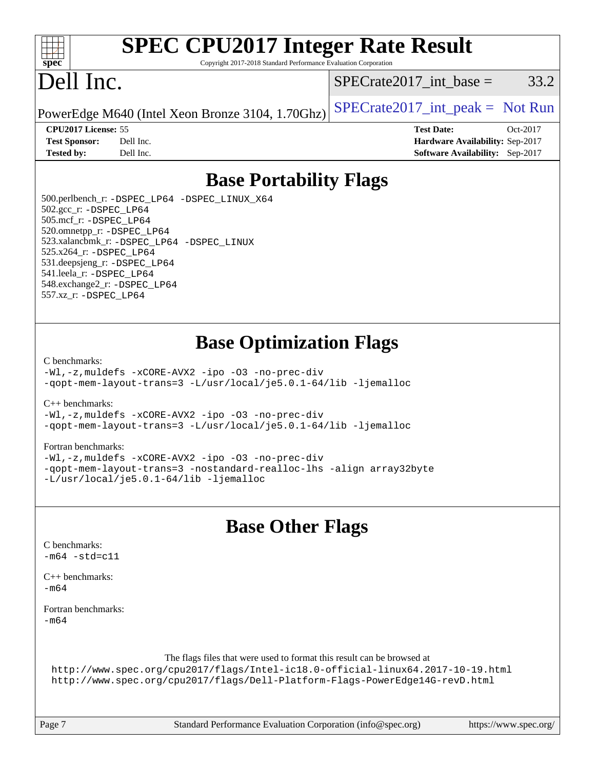

# **[SPEC CPU2017 Integer Rate Result](http://www.spec.org/auto/cpu2017/Docs/result-fields.html#SPECCPU2017IntegerRateResult)**

Copyright 2017-2018 Standard Performance Evaluation Corporation

## Dell Inc.

 $SPECTate2017\_int\_base = 33.2$ 

PowerEdge M640 (Intel Xeon Bronze 3104, 1.70Ghz)  $SPECrate2017\_int\_peak = Not Run$ 

**[CPU2017 License:](http://www.spec.org/auto/cpu2017/Docs/result-fields.html#CPU2017License)** 55 **[Test Date:](http://www.spec.org/auto/cpu2017/Docs/result-fields.html#TestDate)** Oct-2017 **[Test Sponsor:](http://www.spec.org/auto/cpu2017/Docs/result-fields.html#TestSponsor)** Dell Inc. **[Hardware Availability:](http://www.spec.org/auto/cpu2017/Docs/result-fields.html#HardwareAvailability)** Sep-2017 **[Tested by:](http://www.spec.org/auto/cpu2017/Docs/result-fields.html#Testedby)** Dell Inc. **[Software Availability:](http://www.spec.org/auto/cpu2017/Docs/result-fields.html#SoftwareAvailability)** Sep-2017

### **[Base Portability Flags](http://www.spec.org/auto/cpu2017/Docs/result-fields.html#BasePortabilityFlags)**

 500.perlbench\_r: [-DSPEC\\_LP64](http://www.spec.org/cpu2017/results/res2018q1/cpu2017-20180205-03300.flags.html#b500.perlbench_r_basePORTABILITY_DSPEC_LP64) [-DSPEC\\_LINUX\\_X64](http://www.spec.org/cpu2017/results/res2018q1/cpu2017-20180205-03300.flags.html#b500.perlbench_r_baseCPORTABILITY_DSPEC_LINUX_X64) 502.gcc\_r: [-DSPEC\\_LP64](http://www.spec.org/cpu2017/results/res2018q1/cpu2017-20180205-03300.flags.html#suite_basePORTABILITY502_gcc_r_DSPEC_LP64) 505.mcf\_r: [-DSPEC\\_LP64](http://www.spec.org/cpu2017/results/res2018q1/cpu2017-20180205-03300.flags.html#suite_basePORTABILITY505_mcf_r_DSPEC_LP64) 520.omnetpp\_r: [-DSPEC\\_LP64](http://www.spec.org/cpu2017/results/res2018q1/cpu2017-20180205-03300.flags.html#suite_basePORTABILITY520_omnetpp_r_DSPEC_LP64) 523.xalancbmk\_r: [-DSPEC\\_LP64](http://www.spec.org/cpu2017/results/res2018q1/cpu2017-20180205-03300.flags.html#suite_basePORTABILITY523_xalancbmk_r_DSPEC_LP64) [-DSPEC\\_LINUX](http://www.spec.org/cpu2017/results/res2018q1/cpu2017-20180205-03300.flags.html#b523.xalancbmk_r_baseCXXPORTABILITY_DSPEC_LINUX) 525.x264\_r: [-DSPEC\\_LP64](http://www.spec.org/cpu2017/results/res2018q1/cpu2017-20180205-03300.flags.html#suite_basePORTABILITY525_x264_r_DSPEC_LP64) 531.deepsjeng\_r: [-DSPEC\\_LP64](http://www.spec.org/cpu2017/results/res2018q1/cpu2017-20180205-03300.flags.html#suite_basePORTABILITY531_deepsjeng_r_DSPEC_LP64) 541.leela\_r: [-DSPEC\\_LP64](http://www.spec.org/cpu2017/results/res2018q1/cpu2017-20180205-03300.flags.html#suite_basePORTABILITY541_leela_r_DSPEC_LP64) 548.exchange2\_r: [-DSPEC\\_LP64](http://www.spec.org/cpu2017/results/res2018q1/cpu2017-20180205-03300.flags.html#suite_basePORTABILITY548_exchange2_r_DSPEC_LP64) 557.xz\_r: [-DSPEC\\_LP64](http://www.spec.org/cpu2017/results/res2018q1/cpu2017-20180205-03300.flags.html#suite_basePORTABILITY557_xz_r_DSPEC_LP64)

### **[Base Optimization Flags](http://www.spec.org/auto/cpu2017/Docs/result-fields.html#BaseOptimizationFlags)**

#### [C benchmarks](http://www.spec.org/auto/cpu2017/Docs/result-fields.html#Cbenchmarks):

[-Wl,-z,muldefs](http://www.spec.org/cpu2017/results/res2018q1/cpu2017-20180205-03300.flags.html#user_CCbase_link_force_multiple1_b4cbdb97b34bdee9ceefcfe54f4c8ea74255f0b02a4b23e853cdb0e18eb4525ac79b5a88067c842dd0ee6996c24547a27a4b99331201badda8798ef8a743f577) [-xCORE-AVX2](http://www.spec.org/cpu2017/results/res2018q1/cpu2017-20180205-03300.flags.html#user_CCbase_f-xCORE-AVX2) [-ipo](http://www.spec.org/cpu2017/results/res2018q1/cpu2017-20180205-03300.flags.html#user_CCbase_f-ipo) [-O3](http://www.spec.org/cpu2017/results/res2018q1/cpu2017-20180205-03300.flags.html#user_CCbase_f-O3) [-no-prec-div](http://www.spec.org/cpu2017/results/res2018q1/cpu2017-20180205-03300.flags.html#user_CCbase_f-no-prec-div) [-qopt-mem-layout-trans=3](http://www.spec.org/cpu2017/results/res2018q1/cpu2017-20180205-03300.flags.html#user_CCbase_f-qopt-mem-layout-trans_de80db37974c74b1f0e20d883f0b675c88c3b01e9d123adea9b28688d64333345fb62bc4a798493513fdb68f60282f9a726aa07f478b2f7113531aecce732043) [-L/usr/local/je5.0.1-64/lib](http://www.spec.org/cpu2017/results/res2018q1/cpu2017-20180205-03300.flags.html#user_CCbase_jemalloc_link_path64_4b10a636b7bce113509b17f3bd0d6226c5fb2346b9178c2d0232c14f04ab830f976640479e5c33dc2bcbbdad86ecfb6634cbbd4418746f06f368b512fced5394) [-ljemalloc](http://www.spec.org/cpu2017/results/res2018q1/cpu2017-20180205-03300.flags.html#user_CCbase_jemalloc_link_lib_d1249b907c500fa1c0672f44f562e3d0f79738ae9e3c4a9c376d49f265a04b9c99b167ecedbf6711b3085be911c67ff61f150a17b3472be731631ba4d0471706)

[C++ benchmarks:](http://www.spec.org/auto/cpu2017/Docs/result-fields.html#CXXbenchmarks)

[-Wl,-z,muldefs](http://www.spec.org/cpu2017/results/res2018q1/cpu2017-20180205-03300.flags.html#user_CXXbase_link_force_multiple1_b4cbdb97b34bdee9ceefcfe54f4c8ea74255f0b02a4b23e853cdb0e18eb4525ac79b5a88067c842dd0ee6996c24547a27a4b99331201badda8798ef8a743f577) [-xCORE-AVX2](http://www.spec.org/cpu2017/results/res2018q1/cpu2017-20180205-03300.flags.html#user_CXXbase_f-xCORE-AVX2) [-ipo](http://www.spec.org/cpu2017/results/res2018q1/cpu2017-20180205-03300.flags.html#user_CXXbase_f-ipo) [-O3](http://www.spec.org/cpu2017/results/res2018q1/cpu2017-20180205-03300.flags.html#user_CXXbase_f-O3) [-no-prec-div](http://www.spec.org/cpu2017/results/res2018q1/cpu2017-20180205-03300.flags.html#user_CXXbase_f-no-prec-div) [-qopt-mem-layout-trans=3](http://www.spec.org/cpu2017/results/res2018q1/cpu2017-20180205-03300.flags.html#user_CXXbase_f-qopt-mem-layout-trans_de80db37974c74b1f0e20d883f0b675c88c3b01e9d123adea9b28688d64333345fb62bc4a798493513fdb68f60282f9a726aa07f478b2f7113531aecce732043) [-L/usr/local/je5.0.1-64/lib](http://www.spec.org/cpu2017/results/res2018q1/cpu2017-20180205-03300.flags.html#user_CXXbase_jemalloc_link_path64_4b10a636b7bce113509b17f3bd0d6226c5fb2346b9178c2d0232c14f04ab830f976640479e5c33dc2bcbbdad86ecfb6634cbbd4418746f06f368b512fced5394) [-ljemalloc](http://www.spec.org/cpu2017/results/res2018q1/cpu2017-20180205-03300.flags.html#user_CXXbase_jemalloc_link_lib_d1249b907c500fa1c0672f44f562e3d0f79738ae9e3c4a9c376d49f265a04b9c99b167ecedbf6711b3085be911c67ff61f150a17b3472be731631ba4d0471706)

#### [Fortran benchmarks](http://www.spec.org/auto/cpu2017/Docs/result-fields.html#Fortranbenchmarks):

[-Wl,-z,muldefs](http://www.spec.org/cpu2017/results/res2018q1/cpu2017-20180205-03300.flags.html#user_FCbase_link_force_multiple1_b4cbdb97b34bdee9ceefcfe54f4c8ea74255f0b02a4b23e853cdb0e18eb4525ac79b5a88067c842dd0ee6996c24547a27a4b99331201badda8798ef8a743f577) [-xCORE-AVX2](http://www.spec.org/cpu2017/results/res2018q1/cpu2017-20180205-03300.flags.html#user_FCbase_f-xCORE-AVX2) [-ipo](http://www.spec.org/cpu2017/results/res2018q1/cpu2017-20180205-03300.flags.html#user_FCbase_f-ipo) [-O3](http://www.spec.org/cpu2017/results/res2018q1/cpu2017-20180205-03300.flags.html#user_FCbase_f-O3) [-no-prec-div](http://www.spec.org/cpu2017/results/res2018q1/cpu2017-20180205-03300.flags.html#user_FCbase_f-no-prec-div) [-qopt-mem-layout-trans=3](http://www.spec.org/cpu2017/results/res2018q1/cpu2017-20180205-03300.flags.html#user_FCbase_f-qopt-mem-layout-trans_de80db37974c74b1f0e20d883f0b675c88c3b01e9d123adea9b28688d64333345fb62bc4a798493513fdb68f60282f9a726aa07f478b2f7113531aecce732043) [-nostandard-realloc-lhs](http://www.spec.org/cpu2017/results/res2018q1/cpu2017-20180205-03300.flags.html#user_FCbase_f_2003_std_realloc_82b4557e90729c0f113870c07e44d33d6f5a304b4f63d4c15d2d0f1fab99f5daaed73bdb9275d9ae411527f28b936061aa8b9c8f2d63842963b95c9dd6426b8a) [-align array32byte](http://www.spec.org/cpu2017/results/res2018q1/cpu2017-20180205-03300.flags.html#user_FCbase_align_array32byte_b982fe038af199962ba9a80c053b8342c548c85b40b8e86eb3cc33dee0d7986a4af373ac2d51c3f7cf710a18d62fdce2948f201cd044323541f22fc0fffc51b6) [-L/usr/local/je5.0.1-64/lib](http://www.spec.org/cpu2017/results/res2018q1/cpu2017-20180205-03300.flags.html#user_FCbase_jemalloc_link_path64_4b10a636b7bce113509b17f3bd0d6226c5fb2346b9178c2d0232c14f04ab830f976640479e5c33dc2bcbbdad86ecfb6634cbbd4418746f06f368b512fced5394) [-ljemalloc](http://www.spec.org/cpu2017/results/res2018q1/cpu2017-20180205-03300.flags.html#user_FCbase_jemalloc_link_lib_d1249b907c500fa1c0672f44f562e3d0f79738ae9e3c4a9c376d49f265a04b9c99b167ecedbf6711b3085be911c67ff61f150a17b3472be731631ba4d0471706)

#### **[Base Other Flags](http://www.spec.org/auto/cpu2017/Docs/result-fields.html#BaseOtherFlags)**

|        | o                                                                               |
|--------|---------------------------------------------------------------------------------|
|        | C benchmarks:                                                                   |
|        | $-m64 - std= c11$                                                               |
|        | $C_{++}$ benchmarks:                                                            |
| $-m64$ |                                                                                 |
|        |                                                                                 |
| $-m64$ | Fortran benchmarks:                                                             |
|        |                                                                                 |
|        |                                                                                 |
|        | The flags files that were used to format this result can be browsed at          |
|        | http://www.spec.org/cpu2017/flags/Intel-ic18.0-official-linux64.2017-10-19.html |
|        | http://www.spec.org/cpu2017/flags/Dell-Platform-Flags-PowerEdge14G-revD.html    |
|        |                                                                                 |
|        |                                                                                 |
|        |                                                                                 |